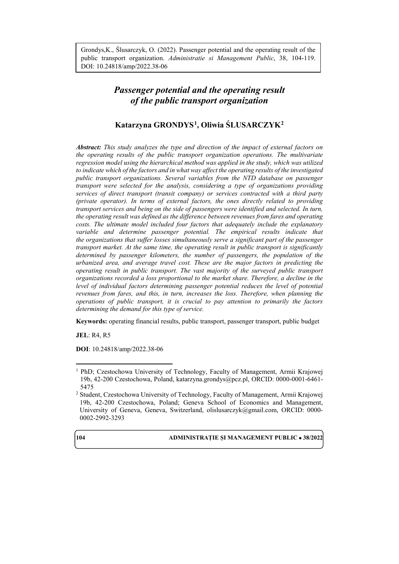Grondys,K., Ślusarczyk, O. (2022). Passenger potential and the operating result of the public transport organization. *Administratie si Management Public*, 38, 104-119. DOI: 10.24818/amp/2022.38-06

# *Passenger potential and the operating result of the public transport organization*

# **Katarzyna GRONDYS[1](#page-0-0), Oliwia ŚLUSARCZYK[2](#page-0-1)**

*Abstract: This study analyzes the type and direction of the impact of external factors on the operating results of the public transport organization operations. The multivariate regression model using the hierarchical method was applied in the study, which was utilized to indicate which of the factors and in what way affect the operating results of the investigated public transport organizations. Several variables from the NTD database on passenger transport were selected for the analysis, considering a type of organizations providing services of direct transport (transit company) or services contracted with a third party (private operator). In terms of external factors, the ones directly related to providing transport services and being on the side of passengers were identified and selected. In turn, the operating result was defined as the difference between revenues from fares and operating costs. The ultimate model included four factors that adequately include the explanatory variable and determine passenger potential. The empirical results indicate that the organizations that suffer losses simultaneously serve a significant part of the passenger transport market. At the same time, the operating result in public transport is significantly determined by passenger kilometers, the number of passengers, the population of the urbanized area, and average travel cost. These are the major factors in predicting the operating result in public transport. The vast majority of the surveyed public transport organizations recorded a loss proportional to the market share. Therefore, a decline in the level of individual factors determining passenger potential reduces the level of potential revenues from fares, and this, in turn, increases the loss. Therefore, when planning the operations of public transport, it is crucial to pay attention to primarily the factors determining the demand for this type of service.* 

**Keywords:** operating financial results, public transport, passenger transport, public budget

**JEL**: R4, R5

**DOI**: 10.24818/amp/2022.38-06

<span id="page-0-1"></span><sup>&</sup>lt;sup>2</sup> Student, Czestochowa University of Technology, Faculty of Management, Armii Krajowej 19b, 42-200 Czestochowa, Poland; Geneva School of Economics and Management, University of Geneva, Geneva, Switzerland, [olislusarczyk@gmail.com,](mailto:olislusarczyk@gmail.com) ORCID: 0000- 0002-2992-3293



 $\overline{a}$ 

<span id="page-0-0"></span><sup>1</sup> PhD; Czestochowa University of Technology, Faculty of Management, Armii Krajowej 19b, 42-200 Czestochowa, Poland, [katarzyna.grondys@pcz.pl,](mailto:katarzyna.grondys@pcz.pl) ORCID: 0000-0001-6461- 5475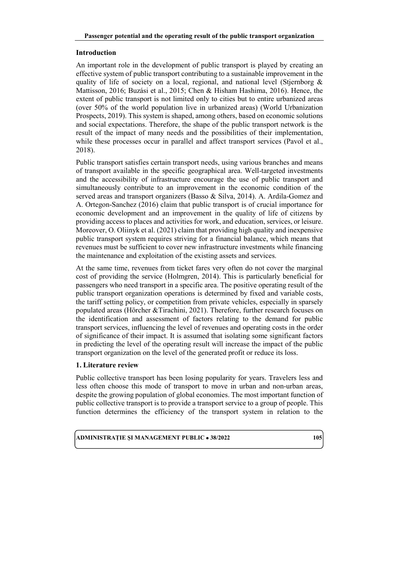#### **Introduction**

An important role in the development of public transport is played by creating an effective system of public transport contributing to a sustainable improvement in the quality of life of society on a local, regional, and national level (Stjernborg & Mattisson, 2016; Buzási et al., 2015; Chen & Hisham Hashima, 2016). Hence, the extent of public transport is not limited only to cities but to entire urbanized areas (over 50% of the world population live in urbanized areas) (World Urbanization Prospects, 2019). This system is shaped, among others, based on economic solutions and social expectations. Therefore, the shape of the public transport network is the result of the impact of many needs and the possibilities of their implementation, while these processes occur in parallel and affect transport services (Pavol et al., 2018).

Public transport satisfies certain transport needs, using various branches and means of transport available in the specific geographical area. Well-targeted investments and the accessibility of infrastructure encourage the use of public transport and simultaneously contribute to an improvement in the economic condition of the served areas and transport organizers (Basso & Silva, 2014). A. Ardila-Gomez and A. Ortegon-Sanchez (2016) claim that public transport is of crucial importance for economic development and an improvement in the quality of life of citizens by providing access to places and activities for work, and education, services, or leisure. Moreover, O. Oliinyk et al. (2021) claim that providing high quality and inexpensive public transport system requires striving for a financial balance, which means that revenues must be sufficient to cover new infrastructure investments while financing the maintenance and exploitation of the existing assets and services.

At the same time, revenues from ticket fares very often do not cover the marginal cost of providing the service (Holmgren, 2014). This is particularly beneficial for passengers who need transport in a specific area. The positive operating result of the public transport organization operations is determined by fixed and variable costs, the tariff setting policy, or competition from private vehicles, especially in sparsely populated areas (Hörcher &Tirachini, 2021). Therefore, further research focuses on the identification and assessment of factors relating to the demand for public transport services, influencing the level of revenues and operating costs in the order of significance of their impact. It is assumed that isolating some significant factors in predicting the level of the operating result will increase the impact of the public transport organization on the level of the generated profit or reduce its loss.

### **1. Literature review**

Public collective transport has been losing popularity for years. Travelers less and less often choose this mode of transport to move in urban and non-urban areas, despite the growing population of global economies. The most important function of public collective transport is to provide a transport service to a group of people. This function determines the efficiency of the transport system in relation to the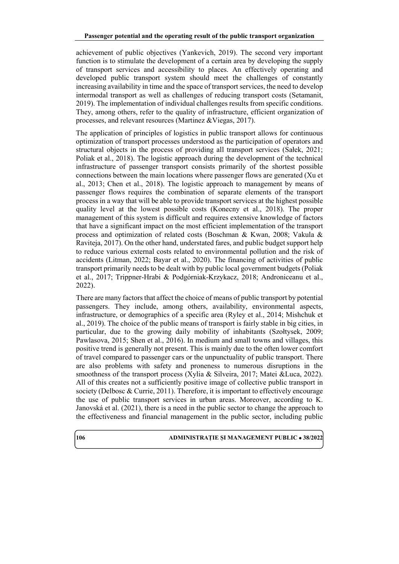achievement of public objectives (Yankevich, 2019). The second very important function is to stimulate the development of a certain area by developing the supply of transport services and accessibility to places. An effectively operating and developed public transport system should meet the challenges of constantly increasing availability in time and the space of transport services, the need to develop intermodal transport as well as challenges of reducing transport costs (Setamanit, 2019). The implementation of individual challenges results from specific conditions. They, among others, refer to the quality of infrastructure, efficient organization of processes, and relevant resources (Martinez &Viegas, 2017).

The application of principles of logistics in public transport allows for continuous optimization of transport processes understood as the participation of operators and structural objects in the process of providing all transport services (Sałek, 2021; Poliak et al., 2018). The logistic approach during the development of the technical infrastructure of passenger transport consists primarily of the shortest possible connections between the main locations where passenger flows are generated (Xu et al., 2013; Chen et al., 2018). The logistic approach to management by means of passenger flows requires the combination of separate elements of the transport process in a way that will be able to provide transport services at the highest possible quality level at the lowest possible costs (Konecny et al., 2018). The proper management of this system is difficult and requires extensive knowledge of factors that have a significant impact on the most efficient implementation of the transport process and optimization of related costs (Boschman & Kwan, 2008; Vakula & Raviteja, 2017). On the other hand, understated fares, and public budget support help to reduce various external costs related to environmental pollution and the risk of accidents (Litman, 2022; Bayar et al., 2020). The financing of activities of public transport primarily needs to be dealt with by public local government budgets (Poliak et al., 2017; Trippner-Hrabi & Podgórniak-Krzykacz, 2018; Androniceanu et al., 2022).

There are many factors that affect the choice of means of public transport by potential passengers. They include, among others, availability, environmental aspects, infrastructure, or demographics of a specific area (Ryley et al., 2014; Mishchuk et al., 2019). The choice of the public means of transport is fairly stable in big cities, in particular, due to the growing daily mobility of inhabitants (Szołtysek, 2009; Pawlasova, 2015; Shen et al., 2016). In medium and small towns and villages, this positive trend is generally not present. This is mainly due to the often lower comfort of travel compared to passenger cars or the unpunctuality of public transport. There are also problems with safety and proneness to numerous disruptions in the smoothness of the transport process (Xylia & Silveira, 2017; Matei &Luca, 2022). All of this creates not a sufficiently positive image of collective public transport in society (Delbosc & Currie, 2011). Therefore, it is important to effectively encourage the use of public transport services in urban areas. Moreover, according to K. Janovská et al. (2021), there is a need in the public sector to change the approach to the effectiveness and financial management in the public sector, including public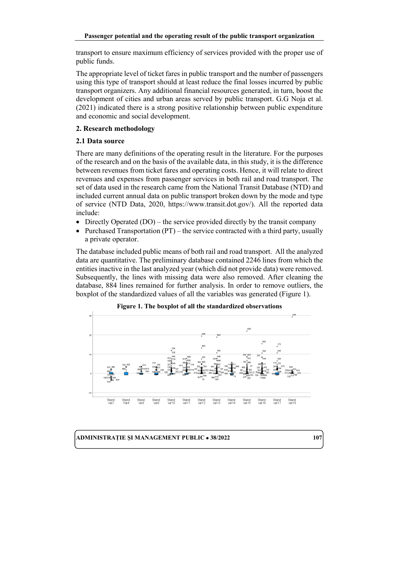transport to ensure maximum efficiency of services provided with the proper use of public funds.

The appropriate level of ticket fares in public transport and the number of passengers using this type of transport should at least reduce the final losses incurred by public transport organizers. Any additional financial resources generated, in turn, boost the development of cities and urban areas served by public transport. G.G Noja et al. (2021) indicated there is a strong positive relationship between public expenditure and economic and social development.

### **2. Research methodology**

### **2.1 Data source**

There are many definitions of the operating result in the literature. For the purposes of the research and on the basis of the available data, in this study, it is the difference between revenues from ticket fares and operating costs. Hence, it will relate to direct revenues and expenses from passenger services in both rail and road transport. The set of data used in the research came from the National Transit Database (NTD) and included current annual data on public transport broken down by the mode and type of service (NTD Data, 2020, https://www.transit.dot.gov/). All the reported data include:

- Directly Operated (DO) the service provided directly by the transit company
- Purchased Transportation (PT) the service contracted with a third party, usually a private operator.

The database included public means of both rail and road transport. All the analyzed data are quantitative. The preliminary database contained 2246 lines from which the entities inactive in the last analyzed year (which did not provide data) were removed. Subsequently, the lines with missing data were also removed. After cleaning the database, 884 lines remained for further analysis. In order to remove outliers, the boxplot of the standardized values of all the variables was generated (Figure 1).



**Figure 1. The boxplot of all the standardized observations**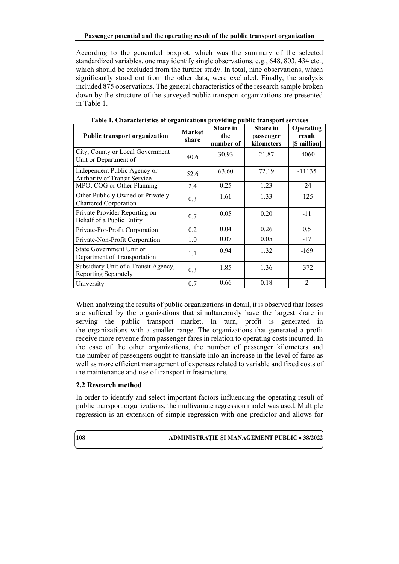According to the generated boxplot, which was the summary of the selected standardized variables, one may identify single observations, e.g., 648, 803, 434 etc., which should be excluded from the further study. In total, nine observations, which significantly stood out from the other data, were excluded. Finally, the analysis included 875 observations. The general characteristics of the research sample broken down by the structure of the surveyed public transport organizations are presented in Table 1.

| <b>Public transport organization</b>                         | <b>Market</b><br>share | Share in<br>the<br>number of | Share in<br>passenger<br>kilometers | Operating<br>result<br>[\$ million] |
|--------------------------------------------------------------|------------------------|------------------------------|-------------------------------------|-------------------------------------|
| City, County or Local Government<br>Unit or Department of    | 40.6                   | 30.93                        | 21.87                               | $-4060$                             |
| Independent Public Agency or<br>Authority of Transit Service | 52.6                   | 63.60                        | 72.19                               | $-11135$                            |
| MPO, COG or Other Planning                                   | 2.4                    | 0.25                         | 1.23                                | $-24$                               |
| Other Publicly Owned or Privately<br>Chartered Corporation   | 0.3                    | 1.61                         | 1.33                                | $-125$                              |
| Private Provider Reporting on<br>Behalf of a Public Entity   | 0.7                    | 0.05                         | 0.20                                | $-11$                               |
| Private-For-Profit Corporation                               | 0.2                    | 0.04                         | 0.26                                | 0.5                                 |
| Private-Non-Profit Corporation                               | 1.0                    | 0.07                         | 0.05                                | $-17$                               |
| State Government Unit or<br>Department of Transportation     | 1.1                    | 0.94                         | 1.32                                | -169                                |
| Subsidiary Unit of a Transit Agency,<br>Reporting Separately | 0.3                    | 1.85                         | 1.36                                | $-372$                              |
| University                                                   | 0.7                    | 0.66                         | 0.18                                | $\mathfrak{D}$                      |

**Table 1. Characteristics of organizations providing public transport services** 

When analyzing the results of public organizations in detail, it is observed that losses are suffered by the organizations that simultaneously have the largest share in serving the public transport market. In turn, profit is generated in the organizations with a smaller range. The organizations that generated a profit receive more revenue from passenger fares in relation to operating costs incurred. In the case of the other organizations, the number of passenger kilometers and the number of passengers ought to translate into an increase in the level of fares as well as more efficient management of expenses related to variable and fixed costs of the maintenance and use of transport infrastructure.

# **2.2 Research method**

In order to identify and select important factors influencing the operating result of public transport organizations, the multivariate regression model was used. Multiple regression is an extension of simple regression with one predictor and allows for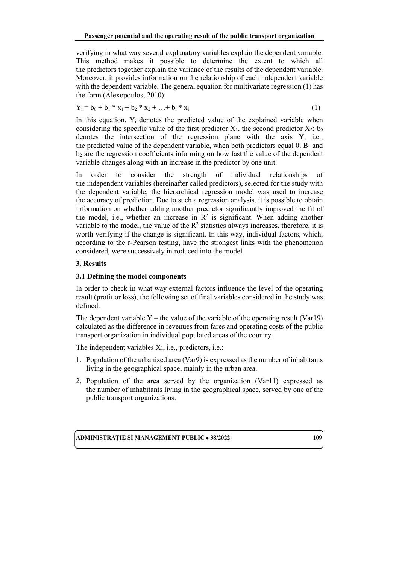verifying in what way several explanatory variables explain the dependent variable. This method makes it possible to determine the extent to which all the predictors together explain the variance of the results of the dependent variable. Moreover, it provides information on the relationship of each independent variable with the dependent variable. The general equation for multivariate regression (1) has the form (Alexopoulos, 2010):

$$
Y_i = b_0 + b_1 * x_1 + b_2 * x_2 + \ldots + b_i * x_i
$$
 (1)

In this equation,  $Y_i$  denotes the predicted value of the explained variable when considering the specific value of the first predictor  $X_1$ , the second predictor  $X_2$ ;  $b_0$ denotes the intersection of the regression plane with the axis Y, i.e., the predicted value of the dependent variable, when both predictors equal  $0. B_1$  and  $b<sub>2</sub>$  are the regression coefficients informing on how fast the value of the dependent variable changes along with an increase in the predictor by one unit.

In order to consider the strength of individual relationships of the independent variables (hereinafter called predictors), selected for the study with the dependent variable, the hierarchical regression model was used to increase the accuracy of prediction. Due to such a regression analysis, it is possible to obtain information on whether adding another predictor significantly improved the fit of the model, i.e., whether an increase in  $\mathbb{R}^2$  is significant. When adding another variable to the model, the value of the  $R<sup>2</sup>$  statistics always increases, therefore, it is worth verifying if the change is significant. In this way, individual factors, which, according to the r-Pearson testing, have the strongest links with the phenomenon considered, were successively introduced into the model.

# **3. Results**

# **3.1 Defining the model components**

In order to check in what way external factors influence the level of the operating result (profit or loss), the following set of final variables considered in the study was defined.

The dependent variable  $Y$  – the value of the variable of the operating result (Var19) calculated as the difference in revenues from fares and operating costs of the public transport organization in individual populated areas of the country.

The independent variables Xi, i.e., predictors, i.e.:

- 1. Population of the urbanized area (Var9) is expressed as the number of inhabitants living in the geographical space, mainly in the urban area.
- 2. Population of the area served by the organization (Var11) expressed as the number of inhabitants living in the geographical space, served by one of the public transport organizations.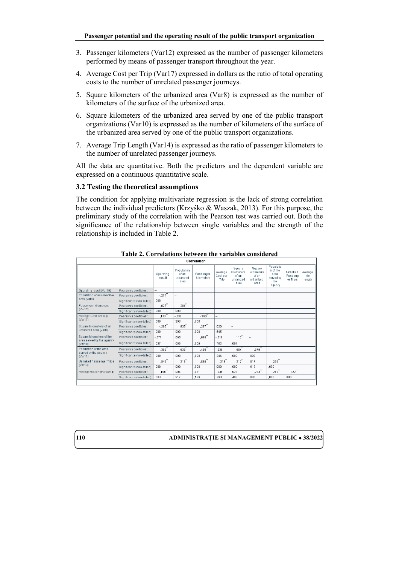- 3. Passenger kilometers (Var12) expressed as the number of passenger kilometers performed by means of passenger transport throughout the year.
- 4. Average Cost per Trip (Var17) expressed in dollars as the ratio of total operating costs to the number of unrelated passenger journeys.
- 5. Square kilometers of the urbanized area (Var8) is expressed as the number of kilometers of the surface of the urbanized area.
- 6. Square kilometers of the urbanized area served by one of the public transport organizations (Var10) is expressed as the number of kilometers of the surface of the urbanized area served by one of the public transport organizations.
- 7. Average Trip Length (Var14) is expressed as the ratio of passenger kilometers to the number of unrelated passenger journeys.

All the data are quantitative. Both the predictors and the dependent variable are expressed on a continuous quantitative scale.

# **3.2 Testing the theoretical assumptions**

The condition for applying multivariate regression is the lack of strong correlation between the individual predictors (Krzyśko & Waszak, 2013). For this purpose, the preliminary study of the correlation with the Pearson test was carried out. Both the significance of the relationship between single variables and the strength of the relationship is included in Table 2.

| Correlation                                           |                           |                          |                                          |                         |                                    |                                                    |                                                     |                                                             |                                 |                           |
|-------------------------------------------------------|---------------------------|--------------------------|------------------------------------------|-------------------------|------------------------------------|----------------------------------------------------|-----------------------------------------------------|-------------------------------------------------------------|---------------------------------|---------------------------|
|                                                       |                           | Operating<br>result      | Population<br>of an<br>urbanized<br>area | Passenger<br>kilometers | Average<br><b>Cost per</b><br>Trip | Square<br>kilometers<br>of an<br>urbanized<br>area | 'Square<br>kilometers<br>of an<br>urbanized<br>area | Populatio<br>n of the<br>area<br>served by<br>the<br>agency | Unlinked<br>Passeng<br>er Trips | Average<br>trip<br>length |
| Operating result (Var19)                              | Pearson's coefficient     | $\overline{\phantom{a}}$ |                                          |                         |                                    |                                                    |                                                     |                                                             |                                 |                           |
| Population of an urbanized                            | Pearson's coefficient     | $-277$                   |                                          |                         |                                    |                                                    |                                                     |                                                             |                                 |                           |
| ares (Var9)                                           | Significance (two-tailed) | .000                     |                                          |                         |                                    |                                                    |                                                     |                                                             |                                 |                           |
| Passenger kilometers                                  | Pearson's coefficient     | $-827$                   | .284                                     | $\sim$                  |                                    |                                                    |                                                     |                                                             |                                 |                           |
| (Var12)                                               | Significance (two-tailed) | .000                     | .000                                     |                         |                                    |                                                    |                                                     |                                                             |                                 |                           |
| Average Cost per Trip                                 | Pearson's coefficient     | $,133$ <sup>**</sup>     | $-.036$                                  | $-190^{11}$             | $\overline{\phantom{a}}$           |                                                    |                                                     |                                                             |                                 |                           |
| (Var17)                                               | Significance (two-tailed) | .000                     | .293                                     | .000                    |                                    |                                                    |                                                     |                                                             |                                 |                           |
| Square kilometers of an                               | Pearson's coefficient     | $-295$                   | .835"                                    | .297                    | 020                                |                                                    |                                                     |                                                             |                                 |                           |
| urbanized area (Var8)                                 | Significance (two-tailed) | .000                     | .000                                     | .000                    | 545                                |                                                    |                                                     |                                                             |                                 |                           |
| Square kilometers of the<br>area served by the agency | Pearson's coefficient     | $-.071$                  | .065                                     | .088 <sup>°</sup>       | $-.010$                            | $.112$ <sup>*</sup>                                | ۰.                                                  |                                                             |                                 |                           |
| (Var10)                                               | Significance (two-tailed) | .037                     | .055                                     | .009                    | .763                               | .001                                               |                                                     |                                                             |                                 |                           |
| Population of the area<br>served by the agency        | Pearson's coefficient     | $-399$ <sup>**</sup>     | .533"                                    | .436"                   | $-0.39$                            | $.504^{'''}$                                       | .379"                                               | ۰.                                                          |                                 |                           |
| (Var11)                                               | Significance (two-tailed) | .000                     | .000                                     | .000                    | 246                                | .000                                               | .000                                                |                                                             |                                 |                           |
| <b>Unlinked Passenger Trips</b>                       | Pearson's coefficient     | $-846$                   | .213                                     | .839                    | $-213$                             | ,217                                               | .017                                                | .269                                                        | $\overline{\phantom{a}}$        |                           |
| (Var13)                                               | Significance (two-tailed) | .000                     | .000                                     | .000                    | 000                                | .000                                               | .619                                                | .000                                                        |                                 |                           |
| Average trip length (Var14)                           | Pearson's coefficient     | $.100^{11}$              | .004                                     | .051                    | $-0.36$                            | .023                                               | .253                                                | $.216^{11}$                                                 | $-.122$                         |                           |
|                                                       | Significance (two-tailed) | .003                     | 917                                      | .129                    | .293                               | 498                                                | .000.                                               | .000                                                        | .000                            |                           |

**Table 2. Correlations between the variables considered**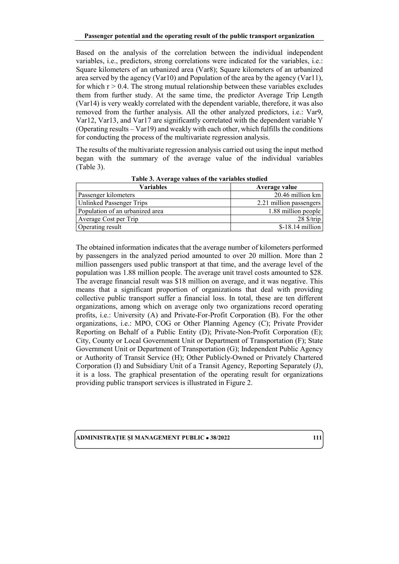Based on the analysis of the correlation between the individual independent variables, i.e., predictors, strong correlations were indicated for the variables, i.e.: Square kilometers of an urbanized area (Var8); Square kilometers of an urbanized area served by the agency (Var10) and Population of the area by the agency (Var11), for which  $r > 0.4$ . The strong mutual relationship between these variables excludes them from further study. At the same time, the predictor Average Trip Length (Var14) is very weakly correlated with the dependent variable, therefore, it was also removed from the further analysis. All the other analyzed predictors, i.e.: Var9, Var12, Var13, and Var17 are significantly correlated with the dependent variable Y (Operating results – Var19) and weakly with each other, which fulfills the conditions for conducting the process of the multivariate regression analysis.

The results of the multivariate regression analysis carried out using the input method began with the summary of the average value of the individual variables (Table 3).

| Variables                       | Average value                     |
|---------------------------------|-----------------------------------|
| Passenger kilometers            | 20.46 million km                  |
| <b>Unlinked Passenger Trips</b> | 2.21 million passengers           |
| Population of an urbanized area | 1.88 million people               |
| Average Cost per Trip           | $28 \frac{\text{S}}{\text{trip}}$ |
| Operating result                | $$-18.14$ million                 |

**Table 3. Average values of the variables studied** 

The obtained information indicates that the average number of kilometers performed by passengers in the analyzed period amounted to over 20 million. More than 2 million passengers used public transport at that time, and the average level of the population was 1.88 million people. The average unit travel costs amounted to \$28. The average financial result was \$18 million on average, and it was negative. This means that a significant proportion of organizations that deal with providing collective public transport suffer a financial loss. In total, these are ten different organizations, among which on average only two organizations record operating profits, i.e.: University (A) and Private-For-Profit Corporation (B). For the other organizations, i.e.: MPO, COG or Other Planning Agency (C); Private Provider Reporting on Behalf of a Public Entity (D); Private-Non-Profit Corporation (E); City, County or Local Government Unit or Department of Transportation (F); State Government Unit or Department of Transportation (G); Independent Public Agency or Authority of Transit Service (H); Other Publicly-Owned or Privately Chartered Corporation (I) and Subsidiary Unit of a Transit Agency, Reporting Separately (J), it is a loss. The graphical presentation of the operating result for organizations providing public transport services is illustrated in Figure 2.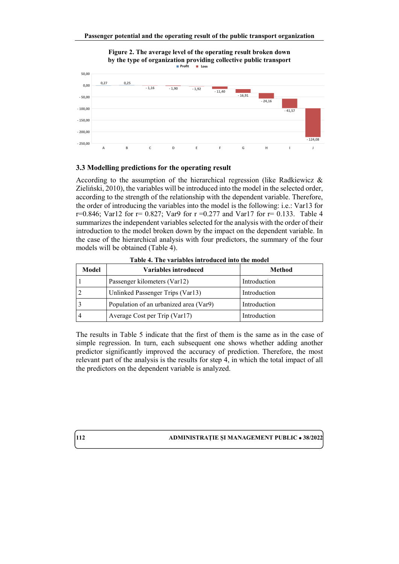

**Figure 2. The average level of the operating result broken down** 

#### **3.3 Modelling predictions for the operating result**

According to the assumption of the hierarchical regression (like Radkiewicz  $\&$ Zieliński, 2010), the variables will be introduced into the model in the selected order, according to the strength of the relationship with the dependent variable. Therefore, the order of introducing the variables into the model is the following: i.e.: Var13 for r=0.846; Var12 for  $r = 0.827$ ; Var9 for  $r = 0.277$  and Var17 for  $r = 0.133$ . Table 4 summarizes the independent variables selected for the analysis with the order of their introduction to the model broken down by the impact on the dependent variable. In the case of the hierarchical analysis with four predictors, the summary of the four models will be obtained (Table 4).

| Model | Variables introduced                   | Method       |
|-------|----------------------------------------|--------------|
|       | Passenger kilometers (Var12)           | Introduction |
|       | Unlinked Passenger Trips (Var13)       | Introduction |
|       | Population of an urbanized area (Var9) | Introduction |
|       | Average Cost per Trip (Var17)          | Introduction |

**Table 4. The variables introduced into the model**

The results in Table 5 indicate that the first of them is the same as in the case of simple regression. In turn, each subsequent one shows whether adding another predictor significantly improved the accuracy of prediction. Therefore, the most relevant part of the analysis is the results for step 4, in which the total impact of all the predictors on the dependent variable is analyzed.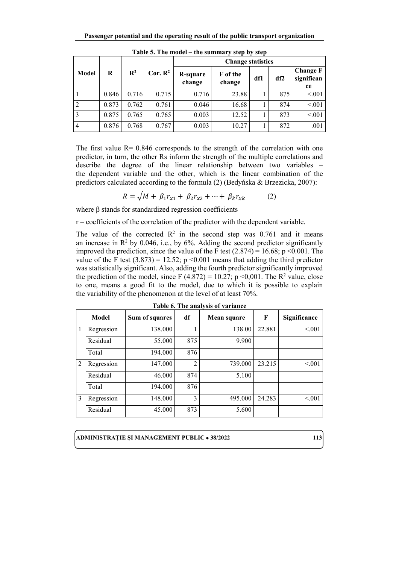|       |       |                |                     |                    | <b>Change statistics</b> |     |     |                                     |
|-------|-------|----------------|---------------------|--------------------|--------------------------|-----|-----|-------------------------------------|
| Model | R     | $\mathbf{R}^2$ | Cor. R <sup>2</sup> | R-square<br>change | F of the<br>change       | df1 | df2 | <b>Change F</b><br>significan<br>ce |
|       | 0.846 | 0.716          | 0.715               | 0.716              | 23.88                    |     | 875 | < 0.01                              |
|       | 0.873 | 0.762          | 0.761               | 0.046              | 16.68                    |     | 874 | < 0.01                              |
| 3     | 0.875 | 0.765          | 0.765               | 0.003              | 12.52                    |     | 873 | < 0.01                              |
| 4     | 0.876 | 0.768          | 0.767               | 0.003              | 10.27                    |     | 872 | .001                                |

**Table 5. The model – the summary step by step**

The first value  $R = 0.846$  corresponds to the strength of the correlation with one predictor, in turn, the other Rs inform the strength of the multiple correlations and describe the degree of the linear relationship between two variables – the dependent variable and the other, which is the linear combination of the predictors calculated according to the formula (2) (Bedyńska & Brzezicka, 2007):

$$
R = \sqrt{M + \beta_1 r_{x1} + \beta_2 r_{x2} + \dots + \beta_k r_{xk}}
$$
 (2)

where β stands for standardized regression coefficients

r – coefficients of the correlation of the predictor with the dependent variable.

The value of the corrected  $\mathbb{R}^2$  in the second step was 0.761 and it means an increase in  $\mathbb{R}^2$  by 0.046, i.e., by 6%. Adding the second predictor significantly improved the prediction, since the value of the F test  $(2.874) = 16.68$ ; p <0.001. The value of the F test  $(3.873) = 12.52$ ; p <0.001 means that adding the third predictor was statistically significant. Also, adding the fourth predictor significantly improved the prediction of the model, since F (4.872) = 10.27; p <0,001. The R<sup>2</sup> value, close to one, means a good fit to the model, due to which it is possible to explain the variability of the phenomenon at the level of at least 70%.

|   | Model      | Sum of squares | df             | Mean square | $\mathbf F$ | Significance |
|---|------------|----------------|----------------|-------------|-------------|--------------|
| 1 | Regression | 138.000        |                | 138.00      | 22.881      | < 0.01       |
|   | Residual   | 55.000         | 875            | 9.900       |             |              |
|   | Total      | 194.000        | 876            |             |             |              |
| 2 | Regression | 147.000        | $\overline{2}$ | 739.000     | 23.215      | < 0.01       |
|   | Residual   | 46.000         | 874            | 5.100       |             |              |
|   | Total      | 194.000        | 876            |             |             |              |
| 3 | Regression | 148.000        | 3              | 495.000     | 24.283      | < 0.01       |
|   | Residual   | 45.000         | 873            | 5.600       |             |              |

**Table 6. The analysis of variance**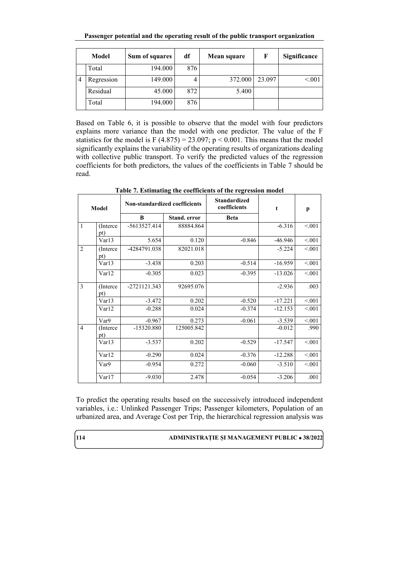**Passenger potential and the operating result of the public transport organization**

| Model |            | Sum of squares | df  | Mean square | F      | Significance |
|-------|------------|----------------|-----|-------------|--------|--------------|
|       | Total      | 194.000        | 876 |             |        |              |
|       | Regression | 149.000        |     | 372.000     | 23.097 | < 0.01       |
|       | Residual   | 45.000         | 872 | 5.400       |        |              |
|       | Total      | 194.000        | 876 |             |        |              |

Based on Table 6, it is possible to observe that the model with four predictors explains more variance than the model with one predictor. The value of the F statistics for the model is F  $(4.875) = 23.097$ ; p < 0.001. This means that the model significantly explains the variability of the operating results of organizations dealing with collective public transport. To verify the predicted values of the regression coefficients for both predictors, the values of the coefficients in Table 7 should be read.

| Model          |                  | Non-standardized coefficients |                     | <b>Standardized</b><br>coefficients | t         | p       |  |
|----------------|------------------|-------------------------------|---------------------|-------------------------------------|-----------|---------|--|
|                |                  | B                             | <b>Stand.</b> error | <b>Beta</b>                         |           |         |  |
| $\mathbf{1}$   | (Interce)<br>pt) | -5613527.414                  | 88884.864           |                                     | $-6.316$  | < 0.01  |  |
|                | Var13            | 5.654                         | 0.120               | $-0.846$                            | $-46.946$ | < 0.001 |  |
| $\overline{2}$ | (Interce<br>pt)  | -4284791.038                  | 82021.018           |                                     | $-5.224$  | < 0.01  |  |
|                | Var13            | $-3.438$                      | 0.203               | $-0.514$                            | $-16.959$ | < 0.01  |  |
|                | Var12            | $-0.305$                      | 0.023               | $-0.395$                            | $-13.026$ | < 0.001 |  |
| $\overline{3}$ | (Interce)<br>pt) | -2721121.343                  | 92695.076           |                                     | $-2.936$  | .003    |  |
|                | Var13            | $-3.472$                      | 0.202               | $-0.520$                            | $-17.221$ | < 0.01  |  |
|                | Var12            | $-0.288$                      | 0.024               | $-0.374$                            | $-12.153$ | < 0.001 |  |
|                | Var9             | $-0.967$                      | 0.273               | $-0.061$                            | $-3.539$  | < 0.01  |  |
| $\overline{4}$ | (Interce)<br>pt) | -15320.880                    | 125005.842          |                                     | $-0.012$  | .990    |  |
|                | Var13            | $-3.537$                      | 0.202               | $-0.529$                            | $-17.547$ | < 0.01  |  |
|                | Var12            | $-0.290$                      | 0.024               | $-0.376$                            | $-12.288$ | < 0.001 |  |
|                | Var9             | $-0.954$                      | 0.272               | $-0.060$                            | $-3.510$  | < 0.001 |  |
|                | Var17            | $-9.030$                      | 2.478               | $-0.054$                            | $-3.206$  | .001    |  |

**Table 7. Estimating the coefficients of the regression model** 

To predict the operating results based on the successively introduced independent variables, i.e.: Unlinked Passenger Trips; Passenger kilometers, Population of an urbanized area, and Average Cost per Trip, the hierarchical regression analysis was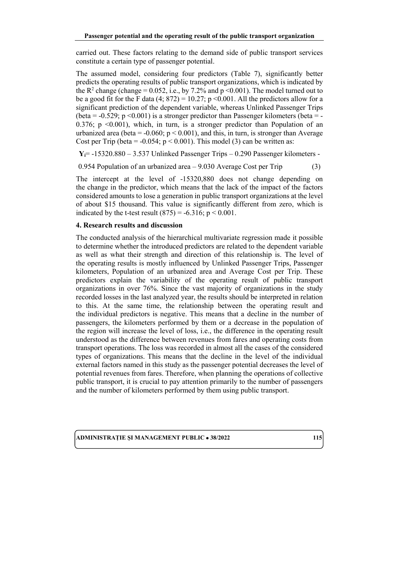carried out. These factors relating to the demand side of public transport services constitute a certain type of passenger potential.

The assumed model, considering four predictors (Table 7), significantly better predicts the operating results of public transport organizations, which is indicated by the  $R^2$  change (change = 0.052, i.e., by 7.2% and p < 0.001). The model turned out to be a good fit for the F data  $(4; 872) = 10.27$ ; p < 0.001. All the predictors allow for a significant prediction of the dependent variable, whereas Unlinked Passenger Trips (beta =  $-0.529$ ; p  $\leq 0.001$ ) is a stronger predictor than Passenger kilometers (beta = -0.376; p <0.001), which, in turn, is a stronger predictor than Population of an urbanized area (beta =  $-0.060$ ;  $p < 0.001$ ), and this, in turn, is stronger than Average Cost per Trip (beta =  $-0.054$ ; p < 0.001). This model (3) can be written as:

**Yi**= -15320.880 – 3.537 Unlinked Passenger Trips – 0.290 Passenger kilometers -

0.954 Population of an urbanized area – 9.030 Average Cost per Trip (3)

The intercept at the level of -15320,880 does not change depending on the change in the predictor, which means that the lack of the impact of the factors considered amounts to lose a generation in public transport organizations at the level of about \$15 thousand. This value is significantly different from zero, which is indicated by the t-test result  $(875) = -6.316$ ; p < 0.001.

#### **4. Research results and discussion**

The conducted analysis of the hierarchical multivariate regression made it possible to determine whether the introduced predictors are related to the dependent variable as well as what their strength and direction of this relationship is. The level of the operating results is mostly influenced by Unlinked Passenger Trips, Passenger kilometers, Population of an urbanized area and Average Cost per Trip. These predictors explain the variability of the operating result of public transport organizations in over 76%. Since the vast majority of organizations in the study recorded losses in the last analyzed year, the results should be interpreted in relation to this. At the same time, the relationship between the operating result and the individual predictors is negative. This means that a decline in the number of passengers, the kilometers performed by them or a decrease in the population of the region will increase the level of loss, i.e., the difference in the operating result understood as the difference between revenues from fares and operating costs from transport operations. The loss was recorded in almost all the cases of the considered types of organizations. This means that the decline in the level of the individual external factors named in this study as the passenger potential decreases the level of potential revenues from fares. Therefore, when planning the operations of collective public transport, it is crucial to pay attention primarily to the number of passengers and the number of kilometers performed by them using public transport.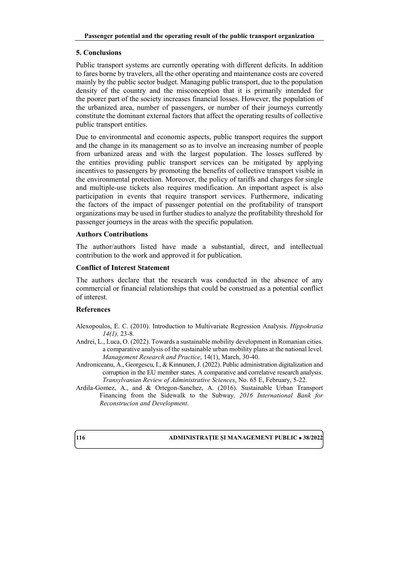# **5. Conclusions**

Public transport systems are currently operating with different deficits. In addition to fares borne by travelers, all the other operating and maintenance costs are covered mainly by the public sector budget. Managing public transport, due to the population density of the country and the misconception that it is primarily intended for the poorer part of the society increases financial losses. However, the population of the urbanized area, number of passengers, or number of their journeys currently constitute the dominant external factors that affect the operating results of collective public transport entities.

Due to environmental and economic aspects, public transport requires the support and the change in its management so as to involve an increasing number of people from urbanized areas and with the largest population. The losses suffered by the entities providing public transport services can be mitigated by applying incentives to passengers by promoting the benefits of collective transport visible in the environmental protection. Moreover, the policy of tariffs and charges for single and multiple-use tickets also requires modification. An important aspect is also participation in events that require transport services. Furthermore, indicating the factors of the impact of passenger potential on the profitability of transport organizations may be used in further studies to analyze the profitability threshold for passenger journeys in the areas with the specific population.

### **Authors Contributions**

The author/authors listed have made a substantial, direct, and intellectual contribution to the work and approved it for publication.

### **Conflict of Interest Statement**

The authors declare that the research was conducted in the absence of any commercial or financial relationships that could be construed as a potential conflict of interest.

# **References**

- Alexopoulos, E. C. (2010). Introduction to Multivariate Regression Analysis. *Hippokratia 14(1),* 23-8.
- Andrei, L., Luca, O. (2022). Towards a sustainable mobility development in Romanian cities. a comparative analysis of the sustainable urban mobility plans at the national level. *Management Research and Practice*, 14(1), March, 30-40.
- Androniceanu, A., Georgescu, I., & Kinnunen, J. (2022). Public administration digitalization and corruption in the EU member states. A comparative and correlative research analysis. *Transylvanian Review of Administrative Sciences*, No. 65 E, February, 5-22.
- Ardila-Gomez, A., and & Ortegon-Sanchez, A. (2016). Sustainable Urban Transport Financing from the Sidewalk to the Subway. *2016 International Bank for Reconstrucion and Development*.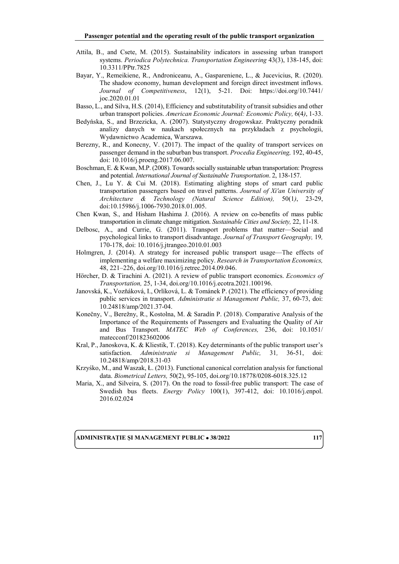- Attila, B., and Csete, M. (2015). Sustainability indicators in assessing urban transport systems. *Periodica Polytechnica. Transportation Engineering* 43(3), 138-145, doi: 10.3311/PPtr.7825
- Bayar, Y., Remeikiene, R., Androniceanu, A., Gaspareniene, L., & Jucevicius, R. (2020). The shadow economy, human development and foreign direct investment inflows. *Journal of Competitiveness*, 12(1), 5-21. Doi: [https://doi.org/10.7441/](https://doi.org/10.7441/%0bjoc.2020.01.01) [joc.2020.01.01](https://doi.org/10.7441/%0bjoc.2020.01.01)
- Basso, L., and Silva, H.S. (2014), Efficiency and substitutability of transit subsidies and other urban transport policies. *American Economic Journal: Economic Policy,* 6(4*)*, 1-33.
- Bedyńska, S., and Brzezicka, A. (2007). Statystyczny drogowskaz. Praktyczny poradnik analizy danych w naukach społecznych na przykładach z psychologii, Wydawnictwo Academica, Warszawa.
- Berezny, R., and Konecny, V. (2017). The impact of the quality of transport services on passenger demand in the suburban bus transport. *Procedia Engineering,* 192, 40-45, doi: 10.1016/j.proeng.2017.06.007.
- Boschman, E. & Kwan, M.P. (2008). Towards socially sustainable urban transportation: Progress and potential. *International Journal of Sustainable Transportation*. 2, 138-157.
- Chen, J., Lu Y. & Cui M. (2018). Estimating alighting stops of smart card public transportation passengers based on travel patterns. *Journal of Xi'an University of Architecture & Technology (Natural Science Edition),* 50(1*)*, 23-29, doi:10.15986/j.1006-7930.2018.01.005.
- Chen Kwan, S., and Hisham Hashima J. (2016). A review on co-benefits of mass public transportation in climate change mitigation. *Sustainable Cities and Society,* 22, 11-18.
- Delbosc, A., and Currie, G. (2011). Transport problems that matter—Social and psychological links to transport disadvantage. *Journal of Transport Geography,* 19*,* 170-178, doi: 10.1016/j.jtrangeo.2010.01.003
- Holmgren, J. (2014). A strategy for increased public transport usage—The effects of implementing a welfare maximizing policy. *Research in Transportation Economics,*  48, 221–226, doi.org/10.1016/j.retrec.2014.09.046.
- Hörcher, D. & Tirachini A. (2021). A review of public transport economics. *Economics of Transportation,* 25, 1-34, doi.org/10.1016/j.ecotra.2021.100196.
- Janovská, K., Vozňáková, I., Orlíková, L. & Tománek P. (2021). The efficiency of providing public services in transport. *Administratie si Management Public,* 37, 60-73, doi: 10.24818/amp/2021.37-04.
- Konečny, V., Berežny, R., Kostolna, M. & Saradín P. (2018). Comparative Analysis of the Importance of the Requirements of Passengers and Evaluating the Quality of Air and Bus Transport. *MATEC Web of Conferences,* 236, doi: 10.1051/ matecconf/201823602006
- Kral, P., Janoskova, K. & Kliestik, T. (2018). Key determinants of the public transport user's satisfaction. *Administratie si Management Public,* 31*,* 36-51, doi: 10.24818/amp/2018.31-03
- Krzyśko, M., and Waszak, Ł. (2013). Functional canonical correlation analysis for functional data. *Biometrical Letters,* 50(2), 95-105, doi.org/10.18778/0208-6018.325.12
- Maria, X., and Silveira, S. (2017). On the road to fossil-free public transport: The case of Swedish bus fleets. *Energy Policy* 100(1), 397-412, doi: 10.1016/j.enpol. 2016.02.024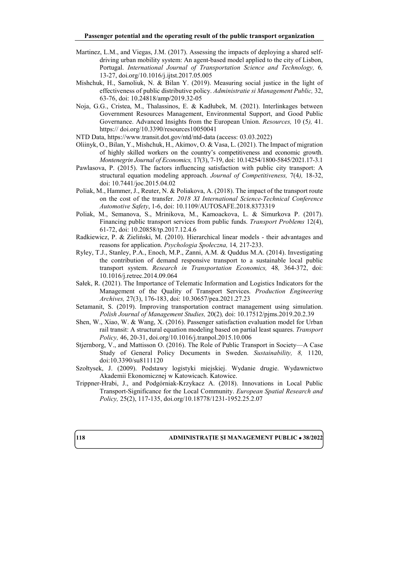- Martinez, L.M., and Viegas, J.M. (2017). Assessing the impacts of deploying a shared selfdriving urban mobility system: An agent-based model applied to the city of Lisbon, Portugal. *International Journal of Transportation Science and Technology,* 6*,* 13-27, doi.org/10.1016/j.ijtst.2017.05.005
- Mishchuk, H., Samoliuk, N. & Bilan Y. (2019). Measuring social justice in the light of effectiveness of public distributive policy. *Administratie si Management Public,* 32, 63-76, doi: 10.24818/amp/2019.32-05
- Noja, G.G., Cristea, M., Thalassinos, E. & Kadłubek, M. (2021). Interlinkages between Government Resources Management, Environmental Support, and Good Public Governance. Advanced Insights from the European Union. *Resources,* 10 (5*),* 41. https:// doi.org/10.3390/resources10050041
- NTD Data,<https://www.transit.dot.gov/ntd/ntd-data> (access: 03.03.2022)
- Oliinyk, O., Bilan, Y., Mishchuk, H., Akimov, O. & Vasa, L. (2021). The Impact of migration of highly skilled workers on the country's competitiveness and economic growth. *Montenegrin Journal of Economics,* 17(3), 7-19, doi: 10.14254/1800-5845/2021.17-3.1
- Pawlasova, P. (2015). The factors influencing satisfaction with public city transport: A structural equation modeling approach. *Journal of Competitiveness,* 7(4*),* 18-32, doi: 10.7441/joc.2015.04.02
- Poliak, M., Hammer, J., Reuter, N. & Poliakova, A. (2018). The impact of the transport route on the cost of the transfer. *2018 XI International Science-Technical Conference Automotive Safety*, 1-6, doi: 10.1109/AUTOSAFE.2018.8373319
- Poliak, M., Semanova, S., Mrinikova, M., Kamoackova, L. & Simurkova P. (2017). Financing public transport services from public funds. *Transport Problems* 12(4), 61-72, doi: 10.20858/tp.2017.12.4.6
- Radkiewicz, P. & Zieliński, M. (2010). Hierarchical linear models their advantages and reasons for application. *Psychologia Społeczna,* 14*,* 217-233.
- Ryley, T.J., Stanley, P.A., Enoch, M.P., Zanni, A.M. & Quddus M.A. (2014). Investigating the contribution of demand responsive transport to a sustainable local public transport system. *Research in Transportation Economics,* 48*,* 364-372, doi: 10.1016/j.retrec.2014.09.064
- Sałek, R. (2021). The Importance of Telematic Information and Logistics Indicators for the Management of the Quality of Transport Services. *Production Engineering Archives,* 27(3), 176-183, doi: 10.30657/pea.2021.27.23
- Setamanit, S. (2019). Improving transportation contract management using simulation. *Polish Journal of Management Studies,* 20(2)*,* doi: 10.17512/pjms.2019.20.2.39
- Shen, W., Xiao, W. & Wang, X. (2016). Passenger satisfaction evaluation model for Urban rail transit: A structural equation modeling based on partial least squares. *Transport Policy,* 46, 20-31, doi.org/10.1016/j.tranpol.2015.10.006
- Stjernborg, V., and Mattisson O. (2016). The Role of Public Transport in Society—A Case Study of General Policy Documents in Sweden. *Sustainability, 8,* 1120, doi:10.3390/su8111120
- Szołtysek, J. (2009). Podstawy logistyki miejskiej. Wydanie drugie. Wydawnictwo Akademii Ekonomicznej w Katowicach. Katowice.
- Trippner-Hrabi, J., and Podgórniak-Krzykacz A. (2018). Innovations in Local Public Transport-Significance for the Local Community. *European Spatial Research and Policy,* 25(2), 117-135, doi.org/10.18778/1231-1952.25.2.07